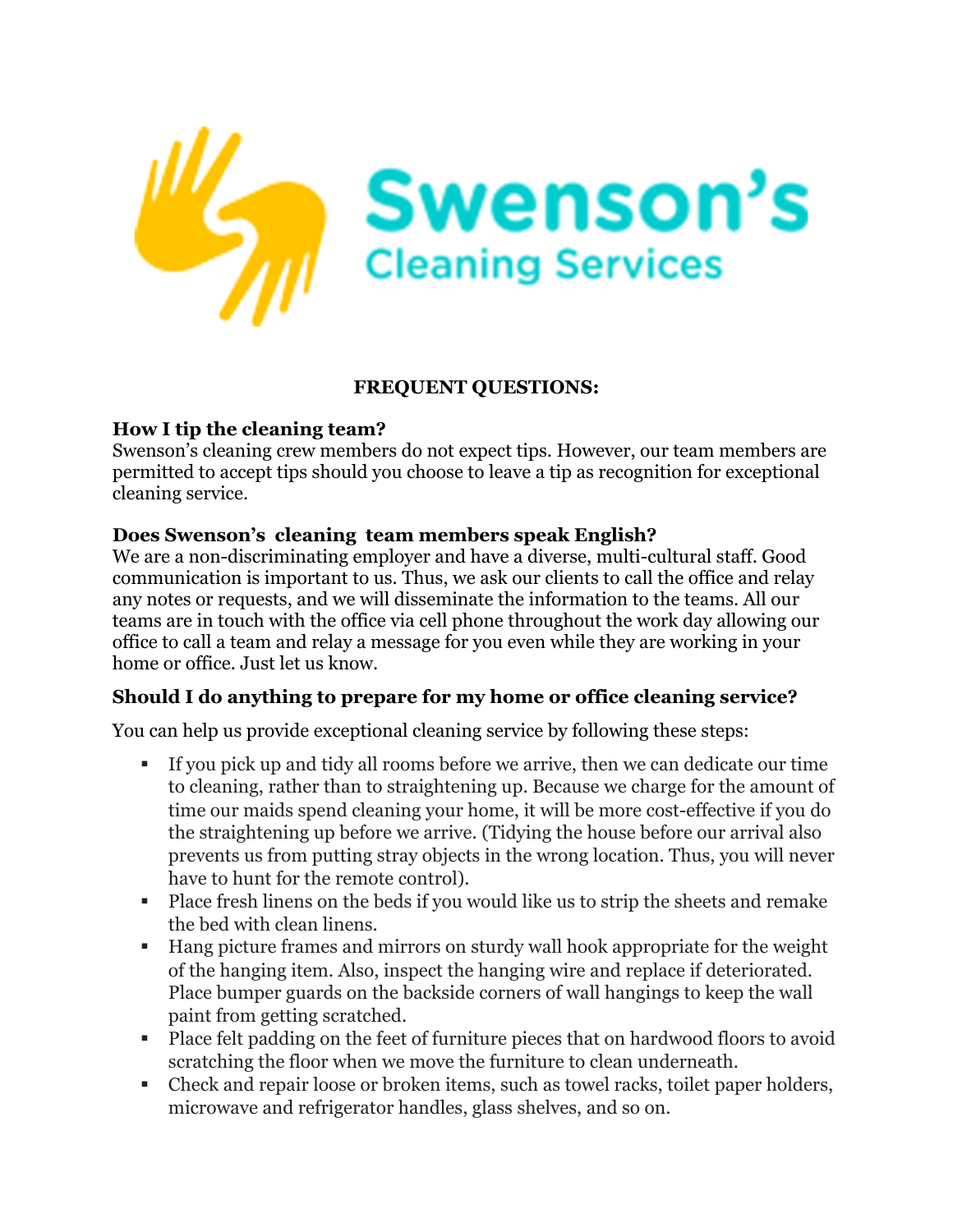

### **FREQUENT QUESTIONS:**

## **How I tip the cleaning team?**

Swenson's cleaning crew members do not expect tips. However, our team members are permitted to accept tips should you choose to leave a tip as recognition for exceptional cleaning service.

## **Does Swenson's cleaning team members speak English?**

We are a non-discriminating employer and have a diverse, multi-cultural staff. Good communication is important to us. Thus, we ask our clients to call the office and relay any notes or requests, and we will disseminate the information to the teams. All our teams are in touch with the office via cell phone throughout the work day allowing our office to call a team and relay a message for you even while they are working in your home or office. Just let us know.

# **Should I do anything to prepare for my home or office cleaning service?**

You can help us provide exceptional cleaning service by following these steps:

- ! If you pick up and tidy all rooms before we arrive, then we can dedicate our time to cleaning, rather than to straightening up. Because we charge for the amount of time our maids spend cleaning your home, it will be more cost-effective if you do the straightening up before we arrive. (Tidying the house before our arrival also prevents us from putting stray objects in the wrong location. Thus, you will never have to hunt for the remote control).
- ! Place fresh linens on the beds if you would like us to strip the sheets and remake the bed with clean linens.
- ! Hang picture frames and mirrors on sturdy wall hook appropriate for the weight of the hanging item. Also, inspect the hanging wire and replace if deteriorated. Place bumper guards on the backside corners of wall hangings to keep the wall paint from getting scratched.
- ! Place felt padding on the feet of furniture pieces that on hardwood floors to avoid scratching the floor when we move the furniture to clean underneath.
- ! Check and repair loose or broken items, such as towel racks, toilet paper holders, microwave and refrigerator handles, glass shelves, and so on.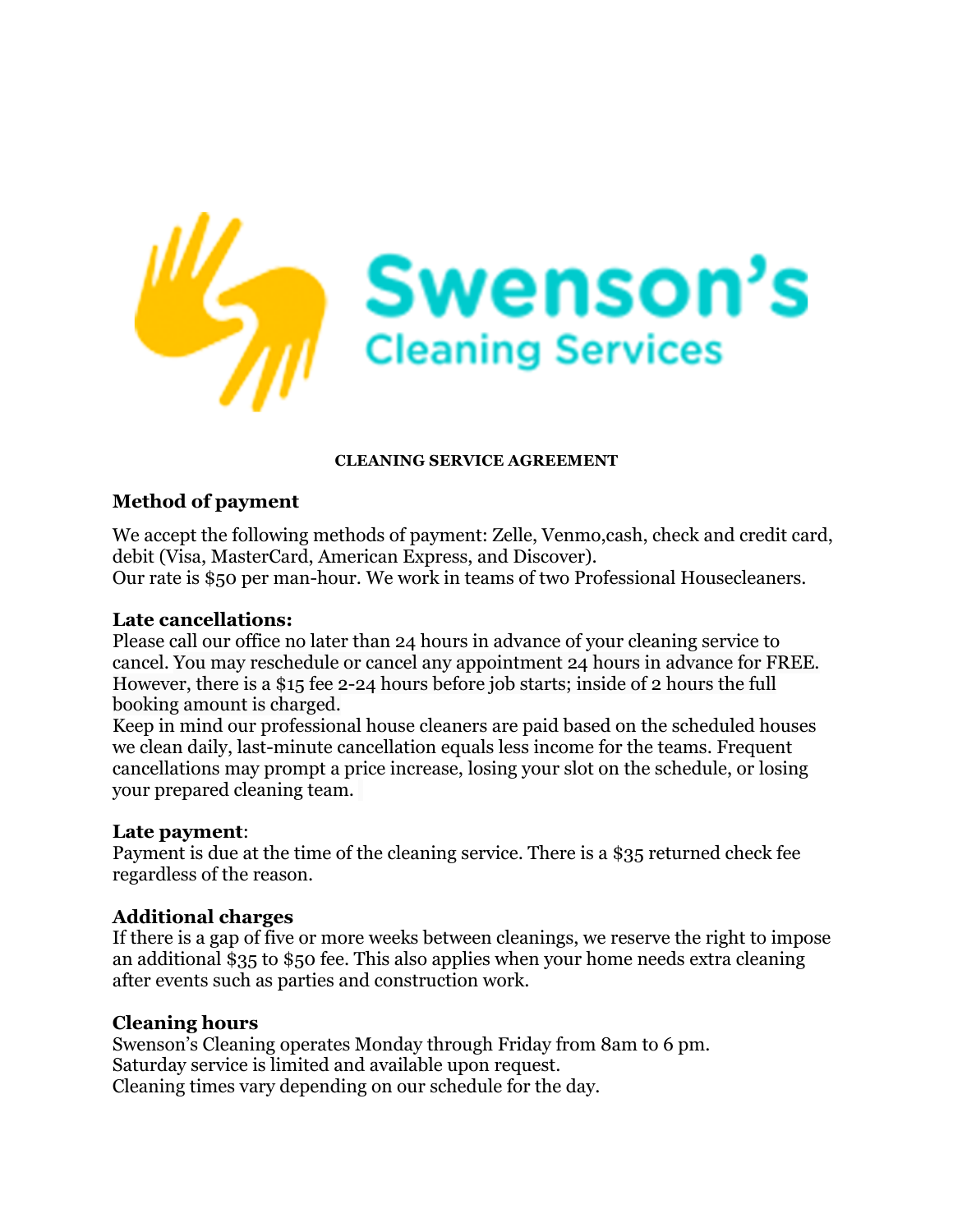

#### **CLEANING SERVICE AGREEMENT**

### **Method of payment**

We accept the following methods of payment: Zelle, Venmo,cash, check and credit card, debit (Visa, MasterCard, American Express, and Discover). Our rate is \$50 per man-hour. We work in teams of two Professional Housecleaners.

#### **Late cancellations:**

Please call our office no later than 24 hours in advance of your cleaning service to cancel. You may reschedule or cancel any appointment 24 hours in advance for FREE. However, there is a \$15 fee 2-24 hours before job starts; inside of 2 hours the full booking amount is charged.

Keep in mind our professional house cleaners are paid based on the scheduled houses we clean daily, last-minute cancellation equals less income for the teams. Frequent cancellations may prompt a price increase, losing your slot on the schedule, or losing your prepared cleaning team.

#### **Late payment**:

Payment is due at the time of the cleaning service. There is a \$35 returned check fee regardless of the reason.

#### **Additional charges**

If there is a gap of five or more weeks between cleanings, we reserve the right to impose an additional \$35 to \$50 fee. This also applies when your home needs extra cleaning after events such as parties and construction work.

#### **Cleaning hours**

Swenson's Cleaning operates Monday through Friday from 8am to 6 pm. Saturday service is limited and available upon request. Cleaning times vary depending on our schedule for the day.